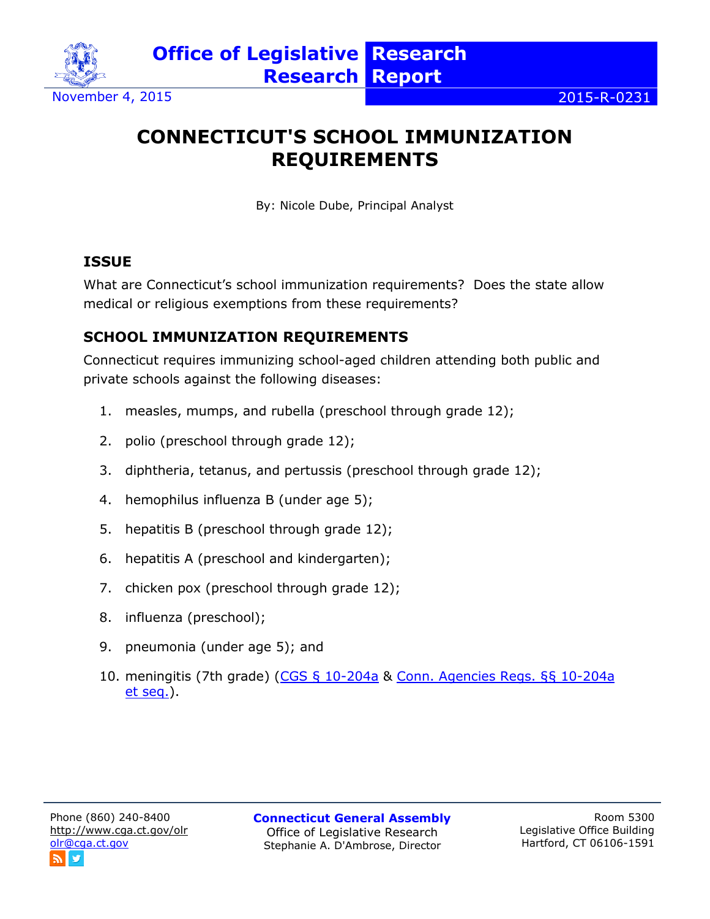

# **CONNECTICUT'S SCHOOL IMMUNIZATION REQUIREMENTS**

By: Nicole Dube, Principal Analyst

## **ISSUE**

What are Connecticut's school immunization requirements? Does the state allow medical or religious exemptions from these requirements?

## **SCHOOL IMMUNIZATION REQUIREMENTS**

Connecticut requires immunizing school-aged children attending both public and private schools against the following diseases:

- 1. measles, mumps, and rubella (preschool through grade 12);
- 2. polio (preschool through grade 12);
- 3. diphtheria, tetanus, and pertussis (preschool through grade 12);
- 4. hemophilus influenza B (under age 5);
- 5. hepatitis B (preschool through grade 12);
- 6. hepatitis A (preschool and kindergarten);
- 7. chicken pox (preschool through grade 12);
- 8. influenza (preschool);
- 9. pneumonia (under age 5); and
- 10. meningitis (7th grade) [\(CGS § 10-204a](https://www.cga.ct.gov/current/pub/chap_169.htm#sec_10-204a) & [Conn. Agencies Regs. §§ 10-204a](https://eregulations.ct.gov/eRegsPortal/Browse/RCSA?id=%7b65F1730C-6E9F-42F6-BD14-59AD65A9CEAF%7d&content=immunization)  [et seq.\)](https://eregulations.ct.gov/eRegsPortal/Browse/RCSA?id=%7b65F1730C-6E9F-42F6-BD14-59AD65A9CEAF%7d&content=immunization).